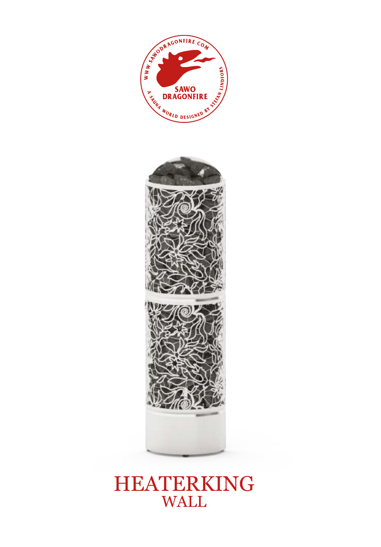



## HEATERKING WALL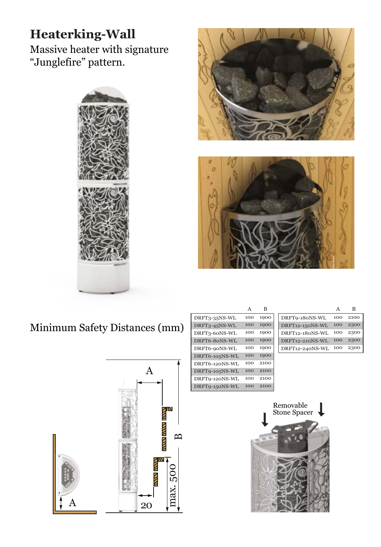## **Heaterking-Wall**

Massive heater with signature "Junglefire" pattern.







Minimum Safety Distances (mm)



|                | A   | в    |
|----------------|-----|------|
| DRFT3-35NS-WL  | 100 | 1900 |
| DRFT3-45NS-WL  | 100 | 1900 |
| DRFT3-60NS-WL  | 100 | 1900 |
| DRFT6-80NS-WL  | 100 | 1900 |
| DRFT6-90NS-WL  | 100 | 1900 |
| DRFT6-105NS-WL | 100 | 1900 |
| DRFT6-120NS-WL | 100 | 2100 |
| DRFT9-105NS-WL | 100 | 2100 |
| DRFT9-120NS-WL | 100 | 2100 |
| DRFT9-150NS-WL | 100 | 2100 |

| DRFT9-180NS-WL  | 10C | 2100 |
|-----------------|-----|------|
| DRFT12-150NS-WL | 10C | 2300 |
| DRFT12-180NS-WL | 100 | 2300 |
| DRFT12-210NS-WL | 100 | 2300 |
| DRFT12-240NS-WL | 100 | 23   |

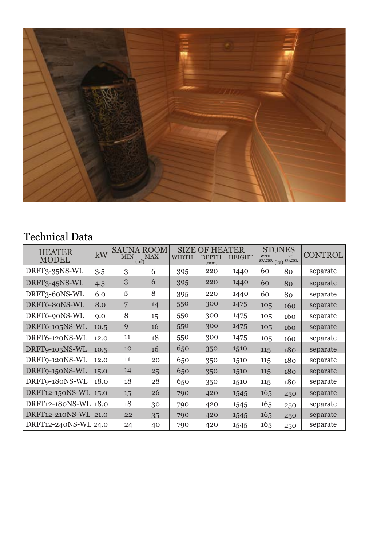

## Technical Data

| <b>HEATER</b><br><b>MODEL</b> | kW   | <b>SAUNA ROOM</b><br><b>MIN</b><br>(m <sup>3</sup> ) | <b>MAX</b> | <b>SIZE</b><br>WIDTH | OF HEATER<br><b>DEPTH</b><br>(mm) | <b>HEIGHT</b> | <b>STONES</b><br><b>WITH</b><br><b>SPACER</b><br>(kg) | N <sub>O</sub><br><b>SPACER</b> | CONTROL  |
|-------------------------------|------|------------------------------------------------------|------------|----------------------|-----------------------------------|---------------|-------------------------------------------------------|---------------------------------|----------|
| DRFT3-35NS-WL                 | 3.5  | 3                                                    | 6          | 395                  | 220                               | 1440          | 60                                                    | 80                              | separate |
| DRFT3-45NS-WL                 | 4.5  | 3                                                    | 6          | 395                  | 220                               | 1440          | 60                                                    | 80                              | separate |
| DRFT3-60NS-WL                 | 6.0  | 5                                                    | 8          | 395                  | 220                               | 1440          | 60                                                    | 80                              | separate |
| DRFT6-80NS-WL                 | 8.0  | $\overline{7}$                                       | 14         | 550                  | 300                               | 1475          | 105                                                   | 160                             | separate |
| DRFT6-90NS-WL                 | 9.0  | 8                                                    | 15         | 550                  | 300                               | 1475          | 105                                                   | 160                             | separate |
| DRFT6-105NS-WL                | 10.5 | 9                                                    | 16         | 550                  | 300                               | 1475          | 105                                                   | 160                             | separate |
| DRFT6-120NS-WL                | 12.0 | 11                                                   | 18         | 550                  | 300                               | 1475          | 105                                                   | 160                             | separate |
| DRFT9-105NS-WL                | 10.5 | 10                                                   | 16         | 650                  | 350                               | 1510          | 115                                                   | 180                             | separate |
| DRFT9-120NS-WL                | 12.0 | 11                                                   | 20         | 650                  | 350                               | 1510          | 115                                                   | 180                             | separate |
| DRFT9-150NS-WL                | 15.0 | 14                                                   | 25         | 650                  | 350                               | 1510          | 115                                                   | 180                             | separate |
| DRFT9-180NS-WL                | 18.0 | 18                                                   | 28         | 650                  | 350                               | 1510          | 115                                                   | 180                             | separate |
| $DRFT12-150NS-WL$             | 15.0 | 15                                                   | 26         | 790                  | 420                               | 1545          | 165                                                   | 250                             | separate |
| DRFT12-180NS-WL               | 18.0 | 18                                                   | 30         | 790                  | 420                               | 1545          | 165                                                   | 250                             | separate |
| DRFT12-210NS-WL               | 21.0 | 22                                                   | 35         | 790                  | 420                               | 1545          | 165                                                   | 250                             | separate |
| DRFT12-240NS-WL 24.0          |      | 24                                                   | 40         | 790                  | 420                               | 1545          | 165                                                   | 250                             | separate |